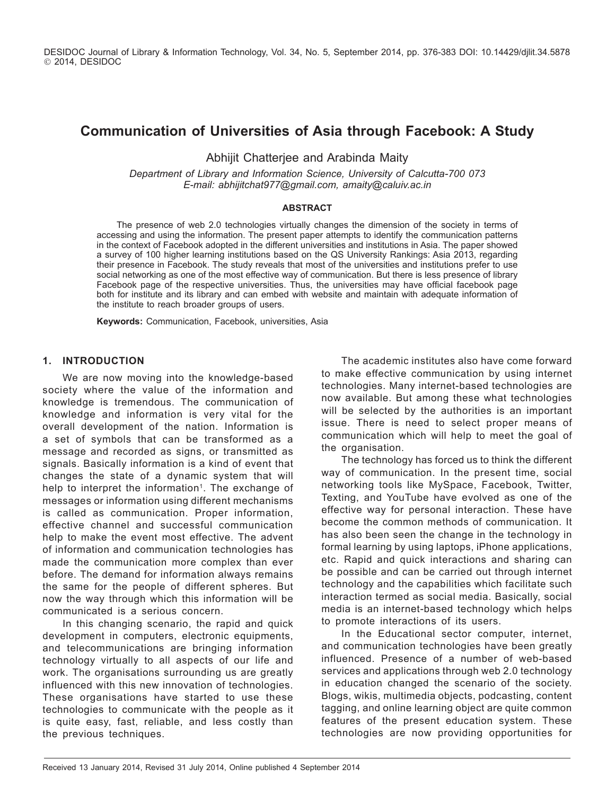DESIDOC Journal of Library & Information Technology, Vol. 34, No. 5, September 2014, pp. 376-383 DOI: 10.14429/djlit.34.5878 2014, DESIDOC

# **Communication of Universities of Asia through Facebook: A Study**

Abhijit Chatterjee and Arabinda Maity

*Department of Library and Information Science, University of Calcutta-700 073 E-mail: abhijitchat977@gmail.com, amaity@caluiv.ac.in*

#### **Abstract**

The presence of web 2.0 technologies virtually changes the dimension of the society in terms of accessing and using the information. The present paper attempts to identify the communication patterns in the context of Facebook adopted in the different universities and institutions in Asia. The paper showed a survey of 100 higher learning institutions based on the QS University Rankings: Asia 2013, regarding their presence in Facebook. The study reveals that most of the universities and institutions prefer to use social networking as one of the most effective way of communication. But there is less presence of library Facebook page of the respective universities. Thus, the universities may have official facebook page both for institute and its library and can embed with website and maintain with adequate information of the institute to reach broader groups of users.

**Keywords:** Communication, Facebook, universities, Asia

#### **1. Introduction**

We are now moving into the knowledge-based society where the value of the information and knowledge is tremendous. The communication of knowledge and information is very vital for the overall development of the nation. Information is a set of symbols that can be transformed as a message and recorded as signs, or transmitted as signals. Basically information is a kind of event that changes the state of a dynamic system that will help to interpret the information<sup>1</sup>. The exchange of messages or information using different mechanisms is called as communication. Proper information, effective channel and successful communication help to make the event most effective. The advent of information and communication technologies has made the communication more complex than ever before. The demand for information always remains the same for the people of different spheres. But now the way through which this information will be communicated is a serious concern.

In this changing scenario, the rapid and quick development in computers, electronic equipments, and telecommunications are bringing information technology virtually to all aspects of our life and work. The organisations surrounding us are greatly influenced with this new innovation of technologies. These organisations have started to use these technologies to communicate with the people as it is quite easy, fast, reliable, and less costly than the previous techniques.

The academic institutes also have come forward to make effective communication by using internet technologies. Many internet-based technologies are now available. But among these what technologies will be selected by the authorities is an important issue. There is need to select proper means of communication which will help to meet the goal of the organisation.

The technology has forced us to think the different way of communication. In the present time, social networking tools like MySpace, Facebook, Twitter, Texting, and YouTube have evolved as one of the effective way for personal interaction. These have become the common methods of communication. It has also been seen the change in the technology in formal learning by using laptops, iPhone applications, etc. Rapid and quick interactions and sharing can be possible and can be carried out through internet technology and the capabilities which facilitate such interaction termed as social media. Basically, social media is an internet-based technology which helps to promote interactions of its users.

In the Educational sector computer, internet, and communication technologies have been greatly influenced. Presence of a number of web-based services and applications through web 2.0 technology in education changed the scenario of the society. Blogs, wikis, multimedia objects, podcasting, content tagging, and online learning object are quite common features of the present education system. These technologies are now providing opportunities for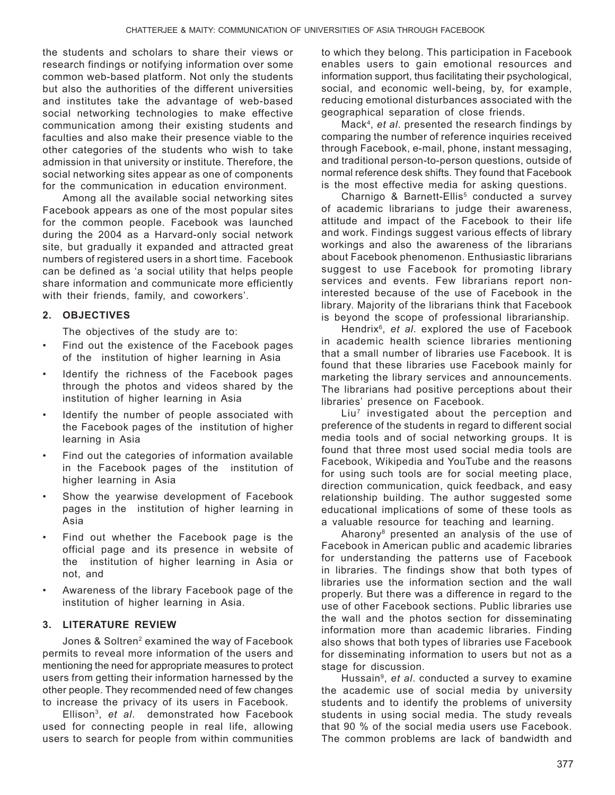the students and scholars to share their views or research findings or notifying information over some common web-based platform. Not only the students but also the authorities of the different universities and institutes take the advantage of web-based social networking technologies to make effective communication among their existing students and faculties and also make their presence viable to the other categories of the students who wish to take admission in that university or institute. Therefore, the social networking sites appear as one of components for the communication in education environment.

Among all the available social networking sites Facebook appears as one of the most popular sites for the common people. Facebook was launched during the 2004 as a Harvard-only social network site, but gradually it expanded and attracted great numbers of registered users in a short time. Facebook can be defined as 'a social utility that helps people share information and communicate more efficiently with their friends, family, and coworkers'.

## **2. Objectives**

The objectives of the study are to:

- Find out the existence of the Facebook pages of the institution of higher learning in Asia
- Identify the richness of the Facebook pages through the photos and videos shared by the institution of higher learning in Asia
- Identify the number of people associated with the Facebook pages of the institution of higher learning in Asia
- Find out the categories of information available in the Facebook pages of the institution of higher learning in Asia
- Show the yearwise development of Facebook pages in the institution of higher learning in Asia
- Find out whether the Facebook page is the official page and its presence in website of the institution of higher learning in Asia or not, and
- Awareness of the library Facebook page of the institution of higher learning in Asia.

## **3. Literature Review**

Jones & Soltren<sup>2</sup> examined the way of Facebook permits to reveal more information of the users and mentioning the need for appropriate measures to protect users from getting their information harnessed by the other people. They recommended need of few changes to increase the privacy of its users in Facebook.

Ellison3, *et al*. demonstrated how Facebook used for connecting people in real life, allowing users to search for people from within communities

to which they belong. This participation in Facebook enables users to gain emotional resources and information support, thus facilitating their psychological, social, and economic well-being, by, for example, reducing emotional disturbances associated with the geographical separation of close friends.

Mack4, *et al*. presented the research findings by comparing the number of reference inquiries received through Facebook, e-mail, phone, instant messaging, and traditional person-to-person questions, outside of normal reference desk shifts. They found that Facebook is the most effective media for asking questions.

Charnigo & Barnett-Ellis<sup>5</sup> conducted a survey of academic librarians to judge their awareness, attitude and impact of the Facebook to their life and work. Findings suggest various effects of library workings and also the awareness of the librarians about Facebook phenomenon. Enthusiastic librarians suggest to use Facebook for promoting library services and events. Few librarians report noninterested because of the use of Facebook in the library. Majority of the librarians think that Facebook is beyond the scope of professional librarianship.

Hendrix6, *et al*. explored the use of Facebook in academic health science libraries mentioning that a small number of libraries use Facebook. It is found that these libraries use Facebook mainly for marketing the library services and announcements. The librarians had positive perceptions about their libraries' presence on Facebook.

Liu<sup>7</sup> investigated about the perception and preference of the students in regard to different social media tools and of social networking groups. It is found that three most used social media tools are Facebook, Wikipedia and YouTube and the reasons for using such tools are for social meeting place, direction communication, quick feedback, and easy relationship building. The author suggested some educational implications of some of these tools as a valuable resource for teaching and learning.

Aharony8 presented an analysis of the use of Facebook in American public and academic libraries for understanding the patterns use of Facebook in libraries. The findings show that both types of libraries use the information section and the wall properly. But there was a difference in regard to the use of other Facebook sections. Public libraries use the wall and the photos section for disseminating information more than academic libraries. Finding also shows that both types of libraries use Facebook for disseminating information to users but not as a stage for discussion.

Hussain9, *et al*. conducted a survey to examine the academic use of social media by university students and to identify the problems of university students in using social media. The study reveals that 90 % of the social media users use Facebook. The common problems are lack of bandwidth and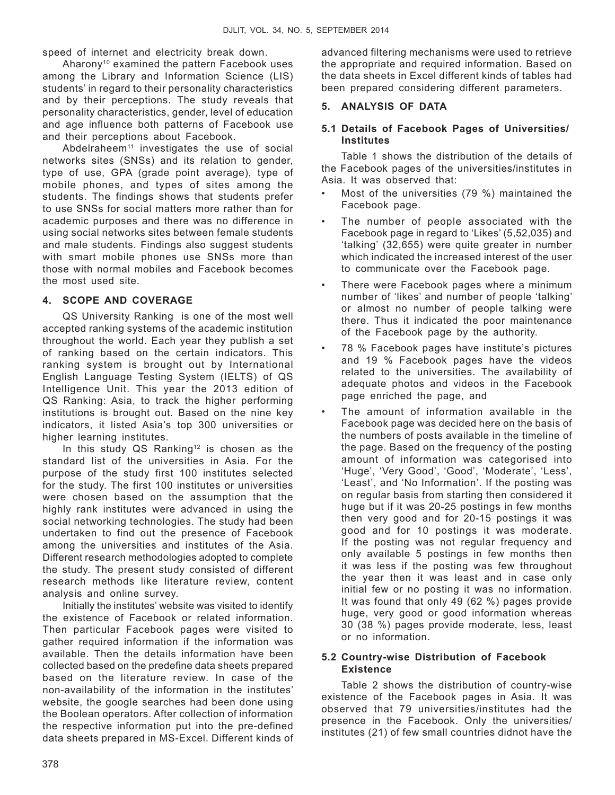speed of internet and electricity break down.

Aharony10 examined the pattern Facebook uses among the Library and Information Science (LIS) students' in regard to their personality characteristics and by their perceptions. The study reveals that personality characteristics, gender, level of education and age influence both patterns of Facebook use and their perceptions about Facebook.

Abdelraheem<sup>11</sup> investigates the use of social networks sites (SNSs) and its relation to gender, type of use, GPA (grade point average), type of mobile phones, and types of sites among the students. The findings shows that students prefer to use SNSs for social matters more rather than for academic purposes and there was no difference in using social networks sites between female students and male students. Findings also suggest students with smart mobile phones use SNSs more than those with normal mobiles and Facebook becomes the most used site.

### **4. Scope and Coverage**

QS University Ranking is one of the most well accepted ranking systems of the academic institution throughout the world. Each year they publish a set of ranking based on the certain indicators. This ranking system is brought out by International English Language Testing System (IELTS) of QS Intelligence Unit. This year the 2013 edition of QS Ranking: Asia, to track the higher performing institutions is brought out. Based on the nine key indicators, it listed Asia's top 300 universities or higher learning institutes.

In this study QS Ranking<sup>12</sup> is chosen as the standard list of the universities in Asia. For the purpose of the study first 100 institutes selected for the study. The first 100 institutes or universities were chosen based on the assumption that the highly rank institutes were advanced in using the social networking technologies. The study had been undertaken to find out the presence of Facebook among the universities and institutes of the Asia. Different research methodologies adopted to complete the study. The present study consisted of different research methods like literature review, content analysis and online survey.

Initially the institutes' website was visited to identify the existence of Facebook or related information. Then particular Facebook pages were visited to gather required information if the information was available. Then the details information have been collected based on the predefine data sheets prepared based on the literature review. In case of the non-availability of the information in the institutes' website, the google searches had been done using the Boolean operators. After collection of information the respective information put into the pre-defined data sheets prepared in MS-Excel. Different kinds of advanced filtering mechanisms were used to retrieve the appropriate and required information. Based on the data sheets in Excel different kinds of tables had been prepared considering different parameters.

### **5. Analysis of Data**

### **5.1 Details of Facebook Pages of Universities/ Institutes**

Table 1 shows the distribution of the details of the Facebook pages of the universities/institutes in Asia. It was observed that:

- Most of the universities  $(79, % )$  maintained the Facebook page.
- The number of people associated with the Facebook page in regard to 'Likes' (5,52,035) and 'talking' (32,655) were quite greater in number which indicated the increased interest of the user to communicate over the Facebook page.
- There were Facebook pages where a minimum number of 'likes' and number of people 'talking' or almost no number of people talking were there. Thus it indicated the poor maintenance of the Facebook page by the authority.
- 78 % Facebook pages have institute's pictures and 19 % Facebook pages have the videos related to the universities. The availability of adequate photos and videos in the Facebook page enriched the page, and
- The amount of information available in the Facebook page was decided here on the basis of the numbers of posts available in the timeline of the page. Based on the frequency of the posting amount of information was categorised into 'Huge', 'Very Good', 'Good', 'Moderate', 'Less', 'Least', and 'No Information'. If the posting was on regular basis from starting then considered it huge but if it was 20-25 postings in few months then very good and for 20-15 postings it was good and for 10 postings it was moderate. If the posting was not regular frequency and only available 5 postings in few months then it was less if the posting was few throughout the year then it was least and in case only initial few or no posting it was no information. It was found that only 49 (62 %) pages provide huge, very good or good information whereas 30 (38 %) pages provide moderate, less, least or no information.

### **5.2 Country-wise Distribution of Facebook Existence**

Table 2 shows the distribution of country-wise existence of the Facebook pages in Asia. It was observed that 79 universities/institutes had the presence in the Facebook. Only the universities/ institutes (21) of few small countries didnot have the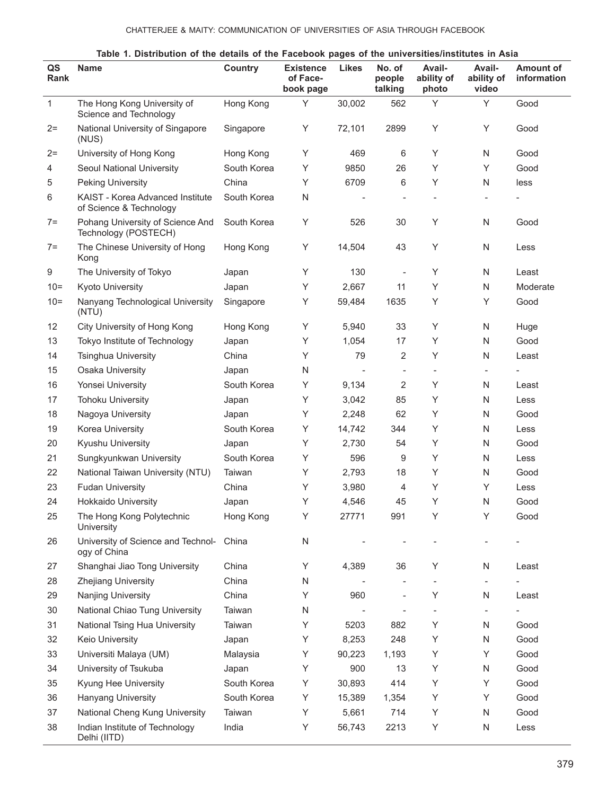|              | rable 1. Distribution of the details of the Facebook pages of the universities/institutes in Asia |             |                                           |                          |                             |                                      |                               |                                 |
|--------------|---------------------------------------------------------------------------------------------------|-------------|-------------------------------------------|--------------------------|-----------------------------|--------------------------------------|-------------------------------|---------------------------------|
| QS<br>Rank   | <b>Name</b>                                                                                       | Country     | <b>Existence</b><br>of Face-<br>book page | <b>Likes</b>             | No. of<br>people<br>talking | <b>Avail-</b><br>ability of<br>photo | Avail-<br>ability of<br>video | <b>Amount of</b><br>information |
| $\mathbf{1}$ | The Hong Kong University of<br>Science and Technology                                             | Hong Kong   | Υ                                         | 30,002                   | 562                         | Υ                                    | Υ                             | Good                            |
| $2=$         | National University of Singapore<br>(NUS)                                                         | Singapore   | Υ                                         | 72,101                   | 2899                        | Y                                    | Υ                             | Good                            |
| $2 =$        | University of Hong Kong                                                                           | Hong Kong   | Υ                                         | 469                      | 6                           | Y                                    | N                             | Good                            |
| 4            | Seoul National University                                                                         | South Korea | Υ                                         | 9850                     | 26                          | Y                                    | Y                             | Good                            |
| 5            | <b>Peking University</b>                                                                          | China       | Y                                         | 6709                     | 6                           | Υ                                    | N                             | less                            |
| 6            | KAIST - Korea Advanced Institute<br>of Science & Technology                                       | South Korea | ${\sf N}$                                 |                          |                             |                                      |                               |                                 |
| $7 =$        | Pohang University of Science And<br>Technology (POSTECH)                                          | South Korea | Υ                                         | 526                      | 30                          | Y                                    | N                             | Good                            |
| $7 =$        | The Chinese University of Hong<br>Kong                                                            | Hong Kong   | Υ                                         | 14,504                   | 43                          | Y                                    | ${\sf N}$                     | Less                            |
| 9            | The University of Tokyo                                                                           | Japan       | Υ                                         | 130                      |                             | Y                                    | ${\sf N}$                     | Least                           |
| $10 =$       | <b>Kyoto University</b>                                                                           | Japan       | Y                                         | 2,667                    | 11                          | Y                                    | N                             | Moderate                        |
| $10 =$       | Nanyang Technological University<br>(NTU)                                                         | Singapore   | Υ                                         | 59,484                   | 1635                        | Y                                    | Υ                             | Good                            |
| 12           | City University of Hong Kong                                                                      | Hong Kong   | Y                                         | 5,940                    | 33                          | Y                                    | N                             | Huge                            |
| 13           | Tokyo Institute of Technology                                                                     | Japan       | Y                                         | 1,054                    | 17                          | Y                                    | N                             | Good                            |
| 14           | <b>Tsinghua University</b>                                                                        | China       | Y                                         | 79                       | 2                           | Y                                    | N                             | Least                           |
| 15           | Osaka University                                                                                  | Japan       | N                                         | $\overline{\phantom{a}}$ | $\overline{a}$              | $\overline{\phantom{a}}$             | $\overline{\phantom{a}}$      |                                 |
| 16           | Yonsei University                                                                                 | South Korea | Υ                                         | 9,134                    | 2                           | Y                                    | N                             | Least                           |
| 17           | <b>Tohoku University</b>                                                                          | Japan       | Y                                         | 3,042                    | 85                          | Y                                    | N                             | Less                            |
| 18           | Nagoya University                                                                                 | Japan       | Υ                                         | 2,248                    | 62                          | Υ                                    | N                             | Good                            |
| 19           | Korea University                                                                                  | South Korea | Υ                                         | 14,742                   | 344                         | Y                                    | N                             | Less                            |
| 20           | Kyushu University                                                                                 | Japan       | Υ                                         | 2,730                    | 54                          | Y                                    | N                             | Good                            |
| 21           | Sungkyunkwan University                                                                           | South Korea | Y                                         | 596                      | 9                           | Υ                                    | N                             | Less                            |
| 22           | National Taiwan University (NTU)                                                                  | Taiwan      | Y                                         | 2,793                    | 18                          | Y                                    | N                             | Good                            |
| 23           | <b>Fudan University</b>                                                                           | China       | Υ                                         | 3,980                    | 4                           | Υ                                    | Y                             | Less                            |
| 24           | <b>Hokkaido University</b>                                                                        | Japan       | Υ                                         | 4,546                    | 45                          | Υ                                    | N                             | Good                            |
| 25           | The Hong Kong Polytechnic<br>University                                                           | Hong Kong   | Υ                                         | 27771                    | 991                         | Υ                                    | Y                             | Good                            |
| 26           | University of Science and Technol-<br>ogy of China                                                | China       | N                                         |                          |                             |                                      |                               |                                 |
| 27           | Shanghai Jiao Tong University                                                                     | China       | Υ                                         | 4,389                    | 36                          | Υ                                    | ${\sf N}$                     | Least                           |
| 28           | Zhejiang University                                                                               | China       | N                                         |                          |                             | $\overline{\phantom{a}}$             | $\qquad \qquad -$             |                                 |
| 29           | Nanjing University                                                                                | China       | Υ                                         | 960                      | $\overline{a}$              | Υ                                    | N                             | Least                           |
| 30           | National Chiao Tung University                                                                    | Taiwan      | N                                         |                          |                             |                                      |                               |                                 |
| 31           | National Tsing Hua University                                                                     | Taiwan      | Υ                                         | 5203                     | 882                         | Υ                                    | N                             | Good                            |
| 32           | Keio University                                                                                   | Japan       | Υ                                         | 8,253                    | 248                         | Υ                                    | N                             | Good                            |
| 33           | Universiti Malaya (UM)                                                                            | Malaysia    | Υ                                         | 90,223                   | 1,193                       | Υ                                    | Υ                             | Good                            |
| 34           | University of Tsukuba                                                                             | Japan       | Υ                                         | 900                      | 13                          | Υ                                    | ${\sf N}$                     | Good                            |
| 35           | Kyung Hee University                                                                              | South Korea | Υ                                         | 30,893                   | 414                         | Υ                                    | Υ                             | Good                            |
| 36           | Hanyang University                                                                                | South Korea | Υ                                         | 15,389                   | 1,354                       | Υ                                    | Υ                             | Good                            |
| 37           | National Cheng Kung University                                                                    | Taiwan      | Υ                                         | 5,661                    | 714                         | Υ                                    | ${\sf N}$                     | Good                            |
| 38           | Indian Institute of Technology<br>Delhi (IITD)                                                    | India       | Υ                                         | 56,743                   | 2213                        | Υ                                    | ${\sf N}$                     | Less                            |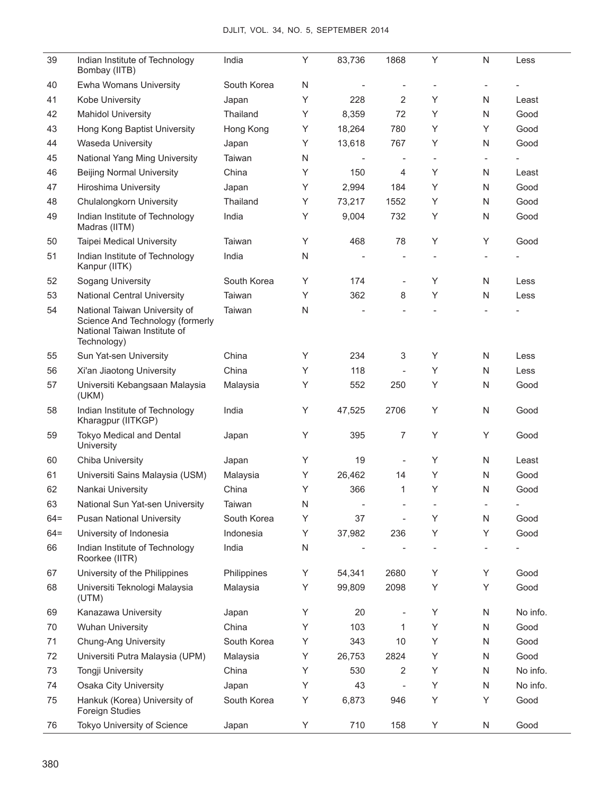| 39     | Indian Institute of Technology<br>Bombay (IITB)                                                                  | India       | Υ         | 83,736                   | 1868                     | Υ | N                        | Less                     |
|--------|------------------------------------------------------------------------------------------------------------------|-------------|-----------|--------------------------|--------------------------|---|--------------------------|--------------------------|
| 40     | Ewha Womans University                                                                                           | South Korea | N         |                          |                          |   |                          |                          |
| 41     | Kobe University                                                                                                  | Japan       | Υ         | 228                      | 2                        | Y | N                        | Least                    |
| 42     | <b>Mahidol University</b>                                                                                        | Thailand    | Y         | 8,359                    | 72                       | Y | N                        | Good                     |
| 43     | Hong Kong Baptist University                                                                                     | Hong Kong   | Y         | 18,264                   | 780                      | Y | Y                        | Good                     |
| 44     | Waseda University                                                                                                | Japan       | Υ         | 13,618                   | 767                      | Y | $\mathsf{N}$             | Good                     |
| 45     | National Yang Ming University                                                                                    | Taiwan      | N         |                          | $\overline{\phantom{a}}$ |   |                          |                          |
| 46     | <b>Beijing Normal University</b>                                                                                 | China       | Υ         | 150                      | 4                        | Υ | N                        | Least                    |
| 47     | Hiroshima University                                                                                             | Japan       | Υ         | 2,994                    | 184                      | Y | N                        | Good                     |
| 48     | Chulalongkorn University                                                                                         | Thailand    | Υ         | 73,217                   | 1552                     | Y | N                        | Good                     |
| 49     | Indian Institute of Technology<br>Madras (IITM)                                                                  | India       | Υ         | 9,004                    | 732                      | Υ | $\mathsf{N}$             | Good                     |
| 50     | <b>Taipei Medical University</b>                                                                                 | Taiwan      | Υ         | 468                      | 78                       | Υ | Υ                        | Good                     |
| 51     | Indian Institute of Technology<br>Kanpur (IITK)                                                                  | India       | N         |                          |                          |   |                          |                          |
| 52     | Sogang University                                                                                                | South Korea | Y         | 174                      | $\overline{\phantom{a}}$ | Υ | N                        | Less                     |
| 53     | <b>National Central University</b>                                                                               | Taiwan      | Υ         | 362                      | 8                        | Υ | N                        | Less                     |
| 54     | National Taiwan University of<br>Science And Technology (formerly<br>National Taiwan Institute of<br>Technology) | Taiwan      | N         |                          |                          |   |                          |                          |
| 55     | Sun Yat-sen University                                                                                           | China       | Υ         | 234                      | 3                        | Υ | $\mathsf{N}$             | Less                     |
| 56     | Xi'an Jiaotong University                                                                                        | China       | Υ         | 118                      | $\bar{a}$                | Y | N                        | Less                     |
| 57     | Universiti Kebangsaan Malaysia<br>(UKM)                                                                          | Malaysia    | Υ         | 552                      | 250                      | Υ | N                        | Good                     |
| 58     | Indian Institute of Technology<br>Kharagpur (IITKGP)                                                             | India       | Υ         | 47,525                   | 2706                     | Υ | $\mathsf{N}$             | Good                     |
| 59     | Tokyo Medical and Dental<br>University                                                                           | Japan       | Υ         | 395                      | 7                        | Υ | Υ                        | Good                     |
| 60     | Chiba University                                                                                                 | Japan       | Y         | 19                       | $\overline{\phantom{a}}$ | Y | N                        | Least                    |
| 61     | Universiti Sains Malaysia (USM)                                                                                  | Malaysia    | Υ         | 26,462                   | 14                       | Y | N                        | Good                     |
| 62     | Nankai University                                                                                                | China       | Υ         | 366                      | 1                        | Υ | N                        | Good                     |
| 63     | National Sun Yat-sen University                                                                                  | Taiwan      | N         | $\overline{\phantom{a}}$ | $\overline{a}$           |   | $\overline{\phantom{a}}$ | $\overline{\phantom{a}}$ |
| $64 =$ | <b>Pusan National University</b>                                                                                 | South Korea | Υ         | 37                       | L,                       | Υ | $\mathsf{N}$             | Good                     |
| $64 =$ | University of Indonesia                                                                                          | Indonesia   | Υ         | 37,982                   | 236                      | Υ | Y                        | Good                     |
| 66     | Indian Institute of Technology<br>Roorkee (IITR)                                                                 | India       | ${\sf N}$ |                          |                          |   |                          |                          |
| 67     | University of the Philippines                                                                                    | Philippines | Υ         | 54,341                   | 2680                     | Υ | Υ                        | Good                     |
| 68     | Universiti Teknologi Malaysia<br>(UTM)                                                                           | Malaysia    | Υ         | 99,809                   | 2098                     | Υ | Υ                        | Good                     |
| 69     | Kanazawa University                                                                                              | Japan       | Υ         | 20                       |                          | Υ | N                        | No info.                 |
| 70     | <b>Wuhan University</b>                                                                                          | China       | Υ         | 103                      | 1                        | Y | N                        | Good                     |
| 71     | Chung-Ang University                                                                                             | South Korea | Y         | 343                      | 10                       | Y | N                        | Good                     |
| 72     | Universiti Putra Malaysia (UPM)                                                                                  | Malaysia    | Y         | 26,753                   | 2824                     | Y | N                        | Good                     |
| 73     | Tongji University                                                                                                | China       | Y         | 530                      | $\overline{2}$           | Y | N                        | No info.                 |
| 74     | <b>Osaka City University</b>                                                                                     | Japan       | Υ         | 43                       | $\frac{1}{2}$            | Υ | N                        | No info.                 |
| 75     | Hankuk (Korea) University of<br><b>Foreign Studies</b>                                                           | South Korea | Υ         | 6,873                    | 946                      | Υ | Υ                        | Good                     |
| 76     | Tokyo University of Science                                                                                      | Japan       | Y         | 710                      | 158                      | Υ | N                        | Good                     |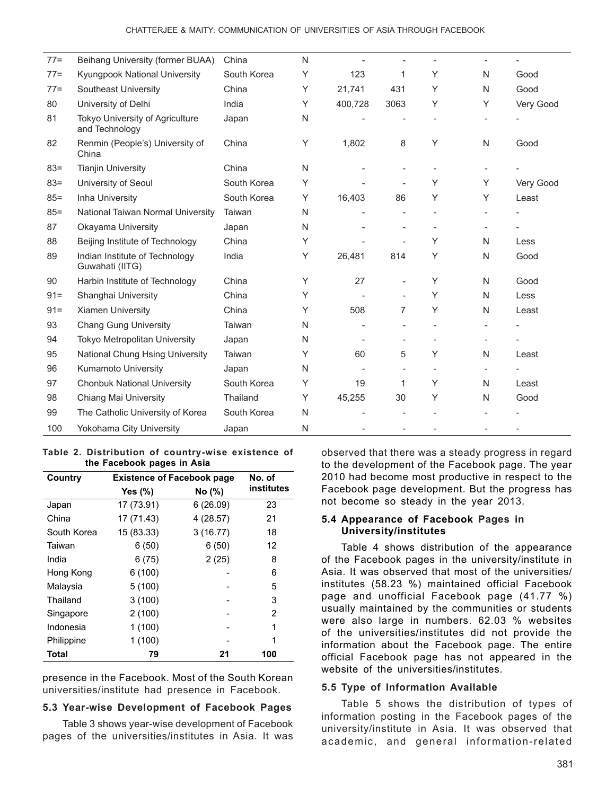| $77 =$ | Beihang University (former BUAA)                  | China       | N |         |                          |   |   |           |
|--------|---------------------------------------------------|-------------|---|---------|--------------------------|---|---|-----------|
| $77 =$ | Kyungpook National University                     | South Korea | Y | 123     | 1                        | Y | N | Good      |
| $77 =$ | Southeast University                              | China       | Υ | 21,741  | 431                      | Y | N | Good      |
| 80     | University of Delhi                               | India       | Y | 400,728 | 3063                     | Y | Y | Very Good |
| 81     | Tokyo University of Agriculture<br>and Technology | Japan       | N |         |                          |   |   |           |
| 82     | Renmin (People's) University of<br>China          | China       | Υ | 1,802   | 8                        | Υ | N | Good      |
| $83 =$ | <b>Tianjin University</b>                         | China       | N |         |                          |   |   |           |
| $83 =$ | University of Seoul                               | South Korea | Υ |         | ÷                        | Y | Y | Very Good |
| $85 =$ | Inha University                                   | South Korea | Υ | 16,403  | 86                       | Υ | Y | Least     |
| $85 =$ | National Taiwan Normal University                 | Taiwan      | N |         |                          |   |   |           |
| 87     | Okayama University                                | Japan       | N |         |                          |   |   |           |
| 88     | Beijing Institute of Technology                   | China       | Υ |         | $\overline{a}$           | Υ | N | Less      |
| 89     | Indian Institute of Technology<br>Guwahati (IITG) | India       | Y | 26,481  | 814                      | Y | N | Good      |
| 90     | Harbin Institute of Technology                    | China       | Y | 27      | ÷                        | Y | N | Good      |
| $91 =$ | Shanghai University                               | China       | Y |         | $\overline{a}$           | Y | N | Less      |
| $91 =$ | <b>Xiamen University</b>                          | China       | Y | 508     | 7                        | Y | N | Least     |
| 93     | <b>Chang Gung University</b>                      | Taiwan      | N |         |                          |   |   |           |
| 94     | <b>Tokyo Metropolitan University</b>              | Japan       | N |         |                          |   |   |           |
| 95     | National Chung Hsing University                   | Taiwan      | Υ | 60      | 5                        | Υ | N | Least     |
| 96     | Kumamoto University                               | Japan       | N |         | $\overline{\phantom{a}}$ |   |   |           |
| 97     | <b>Chonbuk National University</b>                | South Korea | Y | 19      | 1                        | Υ | N | Least     |
| 98     | Chiang Mai University                             | Thailand    | Y | 45,255  | 30                       | Y | N | Good      |
| 99     | The Catholic University of Korea                  | South Korea | N |         |                          |   |   |           |
| 100    | Yokohama City University                          | Japan       | N |         |                          |   |   |           |

**Table 2. Distribution of country-wise existence of the Facebook pages in Asia**

| Country      | <b>Existence of Facebook page</b> | No. of    |                   |
|--------------|-----------------------------------|-----------|-------------------|
|              | Yes $(\%)$                        | No (%)    | <b>institutes</b> |
| Japan        | 17 (73.91)                        | 6(26.09)  | 23                |
| China        | 17 (71.43)                        | 4 (28.57) | 21                |
| South Korea  | 15 (83.33)                        | 3(16.77)  | 18                |
| Taiwan       | 6(50)                             | 6(50)     | 12                |
| India        | 6(75)                             | 2(25)     | 8                 |
| Hong Kong    | 6(100)                            |           | 6                 |
| Malaysia     | 5(100)                            |           | 5                 |
| Thailand     | 3(100)                            |           | 3                 |
| Singapore    | 2(100)                            |           | 2                 |
| Indonesia    | 1(100)                            |           | 1                 |
| Philippine   | 1(100)                            |           | 1                 |
| <b>Total</b> | 79                                | 21        | 100               |

presence in the Facebook. Most of the South Korean universities/institute had presence in Facebook.

#### **5.3 Year-wise Development of Facebook Pages**

Table 3 shows year-wise development of Facebook pages of the universities/institutes in Asia. It was

observed that there was a steady progress in regard to the development of the Facebook page. The year 2010 had become most productive in respect to the Facebook page development. But the progress has not become so steady in the year 2013.

#### **5.4 Appearance of Facebook Pages in University/institutes**

Table 4 shows distribution of the appearance of the Facebook pages in the university/institute in Asia. It was observed that most of the universities/ institutes (58.23 %) maintained official Facebook page and unofficial Facebook page (41.77 %) usually maintained by the communities or students were also large in numbers. 62.03 % websites of the universities/institutes did not provide the information about the Facebook page. The entire official Facebook page has not appeared in the website of the universities/institutes.

### **5.5 Type of Information Available**

Table 5 shows the distribution of types of information posting in the Facebook pages of the university/institute in Asia. It was observed that academic, and general information-related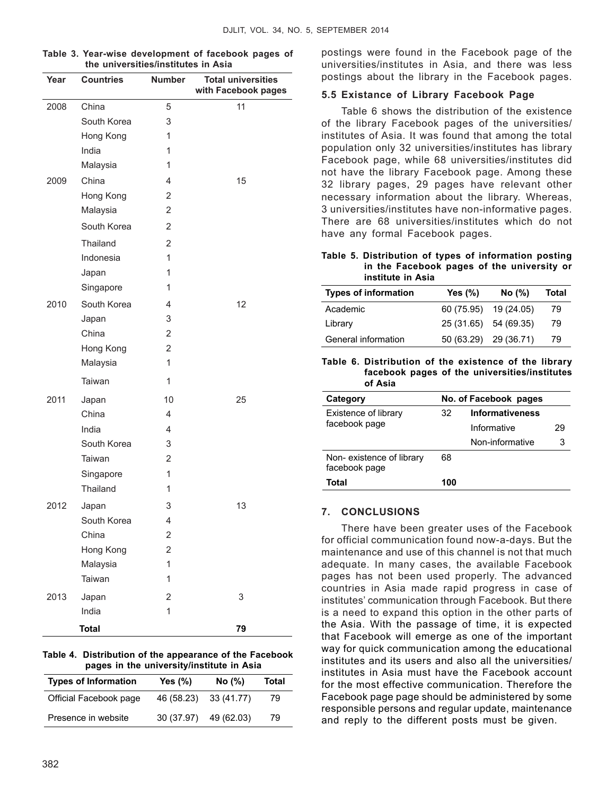| Year | <b>Countries</b> | <b>Number</b> | <b>Total universities</b><br>with Facebook pages |
|------|------------------|---------------|--------------------------------------------------|
| 2008 | China            | 5             | 11                                               |
|      | South Korea      | 3             |                                                  |
|      | Hong Kong        | 1             |                                                  |
|      | India            | 1             |                                                  |
|      | Malaysia         | 1             |                                                  |
| 2009 | China            | 4             | 15                                               |
|      | Hong Kong        | 2             |                                                  |
|      | Malaysia         | 2             |                                                  |
|      | South Korea      | 2             |                                                  |
|      | Thailand         | 2             |                                                  |
|      | Indonesia        | 1             |                                                  |
|      | Japan            | 1             |                                                  |
|      | Singapore        | 1             |                                                  |
| 2010 | South Korea      | 4             | 12                                               |
|      | Japan            | 3             |                                                  |
|      | China            | 2             |                                                  |
|      | Hong Kong        | 2             |                                                  |
|      | Malaysia         | $\mathbf{1}$  |                                                  |
|      | Taiwan           | 1             |                                                  |
| 2011 | Japan            | 10            | 25                                               |
|      | China            | 4             |                                                  |
|      | India            | 4             |                                                  |
|      | South Korea      | 3             |                                                  |
|      | Taiwan           | 2             |                                                  |
|      | Singapore        | 1             |                                                  |
|      | Thailand         | 1             |                                                  |
| 2012 | Japan            | 3             | 13                                               |
|      | South Korea      | 4             |                                                  |
|      | China            | 2             |                                                  |
|      | Hong Kong        | 2             |                                                  |
|      | Malaysia         | 1             |                                                  |
|      | Taiwan           | 1             |                                                  |
| 2013 | Japan            | 2             | 3                                                |
|      | India            | 1             |                                                  |

| Table 3. Year-wise development of facebook pages of |  |
|-----------------------------------------------------|--|
| the universities/institutes in Asia                 |  |

**Table 4. Distribution of the appearance of the Facebook pages in the university/institute in Asia**

 **Total 79**

| <b>Types of Information</b> | Yes (%)    | No(%)      | Total |
|-----------------------------|------------|------------|-------|
| Official Facebook page      | 46 (58.23) | 33 (41.77) | 79    |
| Presence in website         | 30 (37.97) | 49 (62.03) | 79    |

postings were found in the Facebook page of the universities/institutes in Asia, and there was less postings about the library in the Facebook pages.

#### **5.5 Existance of Library Facebook Page**

Table 6 shows the distribution of the existence of the library Facebook pages of the universities/ institutes of Asia. It was found that among the total population only 32 universities/institutes has library Facebook page, while 68 universities/institutes did not have the library Facebook page. Among these 32 library pages, 29 pages have relevant other necessary information about the library. Whereas, 3 universities/institutes have non-informative pages. There are 68 universities/institutes which do not have any formal Facebook pages.

**Table 5. Distribution of types of information posting in the Facebook pages of the university or institute in Asia**

| <b>Types of information</b> | Yes $(\%)$            | No(%) | Total |
|-----------------------------|-----------------------|-------|-------|
| Academic                    | 60 (75.95) 19 (24.05) |       | 79    |
| Library                     | 25 (31.65) 54 (69.35) |       | 79    |
| General information         | 50 (63.29) 29 (36.71) |       | 79    |

**Table 6. Distribution of the existence of the library facebook pages of the universities/institutes of Asia**

| Category                                  | No. of Facebook pages |                        |    |  |  |
|-------------------------------------------|-----------------------|------------------------|----|--|--|
| Existence of library                      | 32                    | <b>Informativeness</b> |    |  |  |
| facebook page                             |                       | Informative            | 29 |  |  |
|                                           |                       | Non-informative        | 3  |  |  |
| Non-existence of library<br>facebook page | 68                    |                        |    |  |  |
| Total                                     | 100                   |                        |    |  |  |

#### **7. Conclusions**

There have been greater uses of the Facebook for official communication found now-a-days. But the maintenance and use of this channel is not that much adequate. In many cases, the available Facebook pages has not been used properly. The advanced countries in Asia made rapid progress in case of institutes' communication through Facebook. But there is a need to expand this option in the other parts of the Asia. With the passage of time, it is expected that Facebook will emerge as one of the important way for quick communication among the educational institutes and its users and also all the universities/ institutes in Asia must have the Facebook account for the most effective communication. Therefore the Facebook page page should be administered by some responsible persons and regular update, maintenance and reply to the different posts must be given.